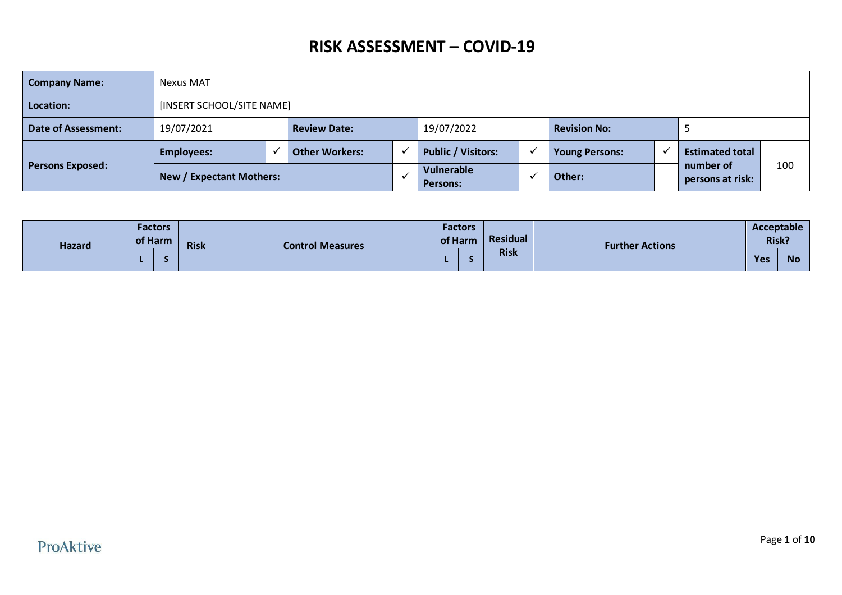| <b>Company Name:</b>    | Nexus MAT                                                                  |                           |                       |  |                           |              |                       |  |                               |     |  |  |
|-------------------------|----------------------------------------------------------------------------|---------------------------|-----------------------|--|---------------------------|--------------|-----------------------|--|-------------------------------|-----|--|--|
| Location:               |                                                                            | [INSERT SCHOOL/SITE NAME] |                       |  |                           |              |                       |  |                               |     |  |  |
| Date of Assessment:     | 19/07/2021                                                                 |                           | <b>Review Date:</b>   |  | 19/07/2022                |              | <b>Revision No:</b>   |  |                               |     |  |  |
|                         | <b>Employees:</b>                                                          |                           | <b>Other Workers:</b> |  | <b>Public / Visitors:</b> | $\checkmark$ | <b>Young Persons:</b> |  | <b>Estimated total</b>        |     |  |  |
| <b>Persons Exposed:</b> | Vulnerable<br><b>New / Expectant Mothers:</b><br>Other:<br><b>Persons:</b> |                           |                       |  |                           |              |                       |  | number of<br>persons at risk: | 100 |  |  |

| <b>Hazard</b> | <b>Factors</b><br>of Harm |  | <b>Risk</b> | <b>Control Measures</b> | <b>Factors</b><br>Residual<br>of Harm |             | <b>Further Actions</b> | Acceptable<br>Risk? |           |
|---------------|---------------------------|--|-------------|-------------------------|---------------------------------------|-------------|------------------------|---------------------|-----------|
|               |                           |  |             |                         |                                       | <b>Risk</b> |                        | Yes                 | <b>No</b> |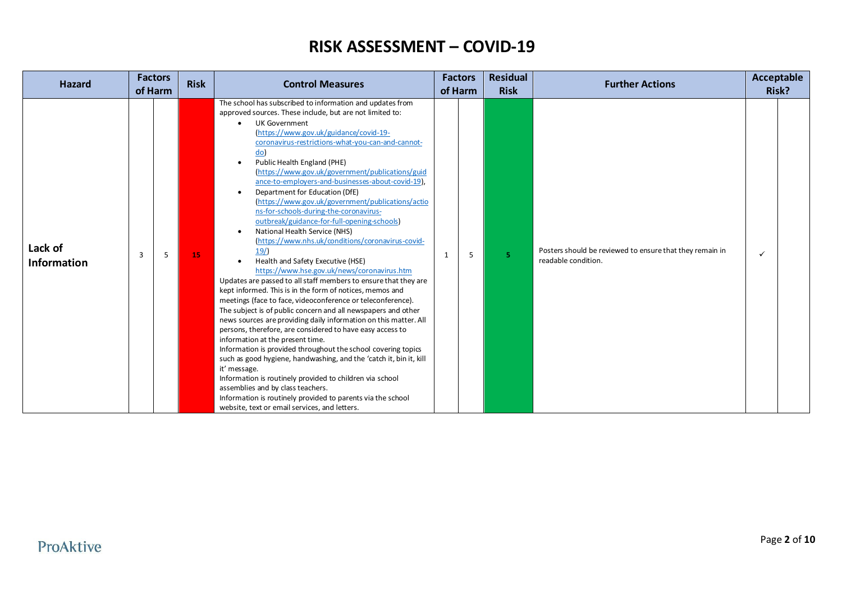| <b>Hazard</b>                 |   | <b>Factors</b><br>of Harm | <b>Risk</b> | <b>Control Measures</b>                                                                                                                                                                                                                                                                                                                                                                                                                                                                                                                                                                                                                                                                                                                                                                                                                                                                                                                                                                                                                                                                                                                                                                                                                                                                                                                                                                                                                                                                                                                                                                            | of Harm | <b>Factors</b> | <b>Residual</b><br><b>Risk</b> | <b>Further Actions</b>                                                          | Acceptable   | Risk? |
|-------------------------------|---|---------------------------|-------------|----------------------------------------------------------------------------------------------------------------------------------------------------------------------------------------------------------------------------------------------------------------------------------------------------------------------------------------------------------------------------------------------------------------------------------------------------------------------------------------------------------------------------------------------------------------------------------------------------------------------------------------------------------------------------------------------------------------------------------------------------------------------------------------------------------------------------------------------------------------------------------------------------------------------------------------------------------------------------------------------------------------------------------------------------------------------------------------------------------------------------------------------------------------------------------------------------------------------------------------------------------------------------------------------------------------------------------------------------------------------------------------------------------------------------------------------------------------------------------------------------------------------------------------------------------------------------------------------------|---------|----------------|--------------------------------|---------------------------------------------------------------------------------|--------------|-------|
| Lack of<br><b>Information</b> | 3 | 5                         | 15          | The school has subscribed to information and updates from<br>approved sources. These include, but are not limited to:<br><b>UK Government</b><br>(https://www.gov.uk/guidance/covid-19-<br>coronavirus-restrictions-what-you-can-and-cannot-<br>do)<br>Public Health England (PHE)<br>$\bullet$<br>(https://www.gov.uk/government/publications/guid<br>ance-to-employers-and-businesses-about-covid-19).<br>Department for Education (DfE)<br>(https://www.gov.uk/government/publications/actio<br>ns-for-schools-during-the-coronavirus-<br>outbreak/guidance-for-full-opening-schools)<br>National Health Service (NHS)<br>$\bullet$<br>(https://www.nhs.uk/conditions/coronavirus-covid-<br>19/<br>Health and Safety Executive (HSE)<br>https://www.hse.gov.uk/news/coronavirus.htm<br>Updates are passed to all staff members to ensure that they are<br>kept informed. This is in the form of notices, memos and<br>meetings (face to face, videoconference or teleconference).<br>The subject is of public concern and all newspapers and other<br>news sources are providing daily information on this matter. All<br>persons, therefore, are considered to have easy access to<br>information at the present time.<br>Information is provided throughout the school covering topics<br>such as good hygiene, handwashing, and the 'catch it, bin it, kill<br>it' message.<br>Information is routinely provided to children via school<br>assemblies and by class teachers.<br>Information is routinely provided to parents via the school<br>website, text or email services, and letters. | 1       | 5              | 5.                             | Posters should be reviewed to ensure that they remain in<br>readable condition. | $\checkmark$ |       |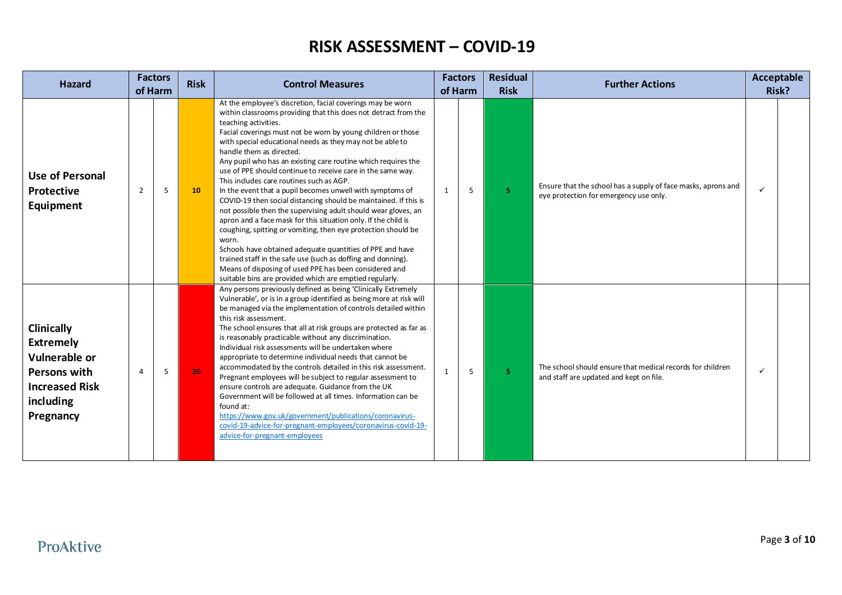| <b>Hazard</b>                                                                                                                    | <b>Factors</b><br>of Harm |   | <b>Risk</b> | <b>Control Measures</b>                                                                                                                                                                                                                                                                                                                                                                                                                                                                                                                                                                                                                                                                                                                                                                                                                                                                                                                                                                                                                                                                     | of Harm      | <b>Factors</b> | <b>Residual</b><br><b>Risk</b> | <b>Further Actions</b>                                                                                  |              | <b>Acceptable</b><br>Risk? |
|----------------------------------------------------------------------------------------------------------------------------------|---------------------------|---|-------------|---------------------------------------------------------------------------------------------------------------------------------------------------------------------------------------------------------------------------------------------------------------------------------------------------------------------------------------------------------------------------------------------------------------------------------------------------------------------------------------------------------------------------------------------------------------------------------------------------------------------------------------------------------------------------------------------------------------------------------------------------------------------------------------------------------------------------------------------------------------------------------------------------------------------------------------------------------------------------------------------------------------------------------------------------------------------------------------------|--------------|----------------|--------------------------------|---------------------------------------------------------------------------------------------------------|--------------|----------------------------|
| <b>Use of Personal</b><br>Protective<br>Equipment                                                                                | $\overline{2}$            | 5 | 10          | At the employee's discretion, facial coverings may be worn<br>within classrooms providing that this does not detract from the<br>teaching activities.<br>Facial coverings must not be worn by young children or those<br>with special educational needs as they may not be able to<br>handle them as directed.<br>Any pupil who has an existing care routine which requires the<br>use of PPE should continue to receive care in the same way.<br>This includes care routines such as AGP.<br>In the event that a pupil becomes unwell with symptoms of<br>COVID-19 then social distancing should be maintained. If this is<br>not possible then the supervising adult should wear gloves, an<br>apron and a face mask for this situation only. If the child is<br>coughing, spitting or vomiting, then eye protection should be<br>worn.<br>Schools have obtained adequate quantities of PPE and have<br>trained staff in the safe use (such as doffing and donning).<br>Means of disposing of used PPE has been considered and<br>suitable bins are provided which are emptied regularly. | 1            | 5              | 5.                             | Ensure that the school has a supply of face masks, aprons and<br>eye protection for emergency use only. | $\checkmark$ |                            |
| Clinically<br><b>Extremely</b><br><b>Vulnerable or</b><br><b>Persons with</b><br><b>Increased Risk</b><br>including<br>Pregnancy | $\overline{4}$            | 5 | 20          | Any persons previously defined as being 'Clinically Extremely<br>Vulnerable', or is in a group identified as being more at risk will<br>be managed via the implementation of controls detailed within<br>this risk assessment.<br>The school ensures that all at risk groups are protected as far as<br>is reasonably practicable without any discrimination.<br>Individual risk assessments will be undertaken where<br>appropriate to determine individual needs that cannot be<br>accommodated by the controls detailed in this risk assessment.<br>Pregnant employees will be subject to regular assessment to<br>ensure controls are adequate. Guidance from the UK<br>Government will be followed at all times. Information can be<br>found at:<br>https://www.gov.uk/government/publications/coronavirus-<br>covid-19-advice-for-pregnant-employees/coronavirus-covid-19-<br>advice-for-pregnant-employees                                                                                                                                                                           | $\mathbf{1}$ | 5              | 5.                             | The school should ensure that medical records for children<br>and staff are updated and kept on file.   | ✓            |                            |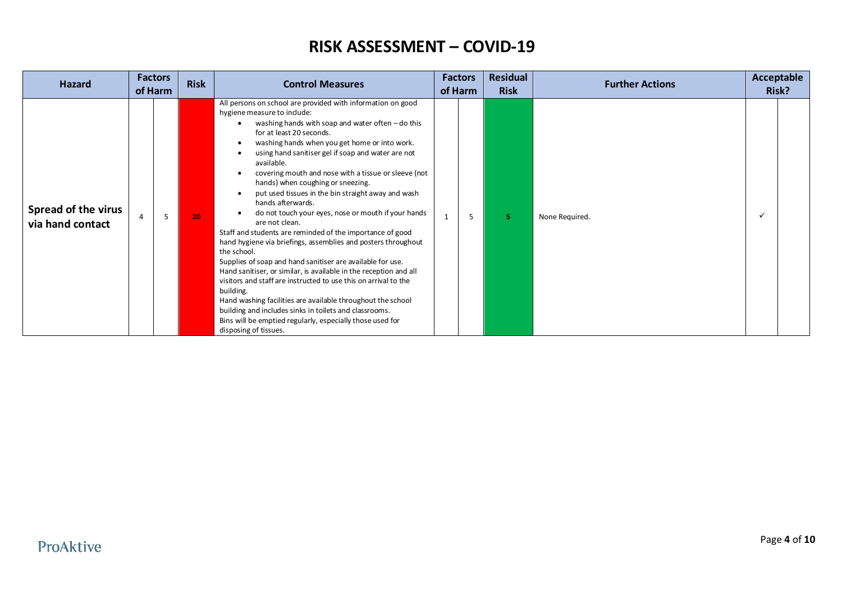| <b>Hazard</b>                                  | <b>Factors</b><br>of Harm |   | <b>Risk</b> | <b>Control Measures</b>                                                                                                                                                                                                                                                                                                                                                                                                                                                                                                                                                                                                                                                                                                                                                                                                                                                                                                                                                                                                                                                                                                                 | <b>Factors</b><br>of Harm | <b>Residual</b><br><b>Risk</b> | <b>Further Actions</b> | Acceptable<br>Risk? |  |
|------------------------------------------------|---------------------------|---|-------------|-----------------------------------------------------------------------------------------------------------------------------------------------------------------------------------------------------------------------------------------------------------------------------------------------------------------------------------------------------------------------------------------------------------------------------------------------------------------------------------------------------------------------------------------------------------------------------------------------------------------------------------------------------------------------------------------------------------------------------------------------------------------------------------------------------------------------------------------------------------------------------------------------------------------------------------------------------------------------------------------------------------------------------------------------------------------------------------------------------------------------------------------|---------------------------|--------------------------------|------------------------|---------------------|--|
| <b>Spread of the virus</b><br>via hand contact | $\overline{a}$            | 5 | 20          | All persons on school are provided with information on good<br>hygiene measure to include:<br>washing hands with soap and water often $-$ do this<br>for at least 20 seconds.<br>washing hands when you get home or into work.<br>٠<br>using hand sanitiser gel if soap and water are not<br>available.<br>covering mouth and nose with a tissue or sleeve (not<br>hands) when coughing or sneezing.<br>put used tissues in the bin straight away and wash<br>hands afterwards.<br>do not touch your eyes, nose or mouth if your hands<br>are not clean.<br>Staff and students are reminded of the importance of good<br>hand hygiene via briefings, assemblies and posters throughout<br>the school.<br>Supplies of soap and hand sanitiser are available for use.<br>Hand sanitiser, or similar, is available in the reception and all<br>visitors and staff are instructed to use this on arrival to the<br>building.<br>Hand washing facilities are available throughout the school<br>building and includes sinks in toilets and classrooms.<br>Bins will be emptied regularly, especially those used for<br>disposing of tissues. | 5                         | 5.                             | None Required.         | ✓                   |  |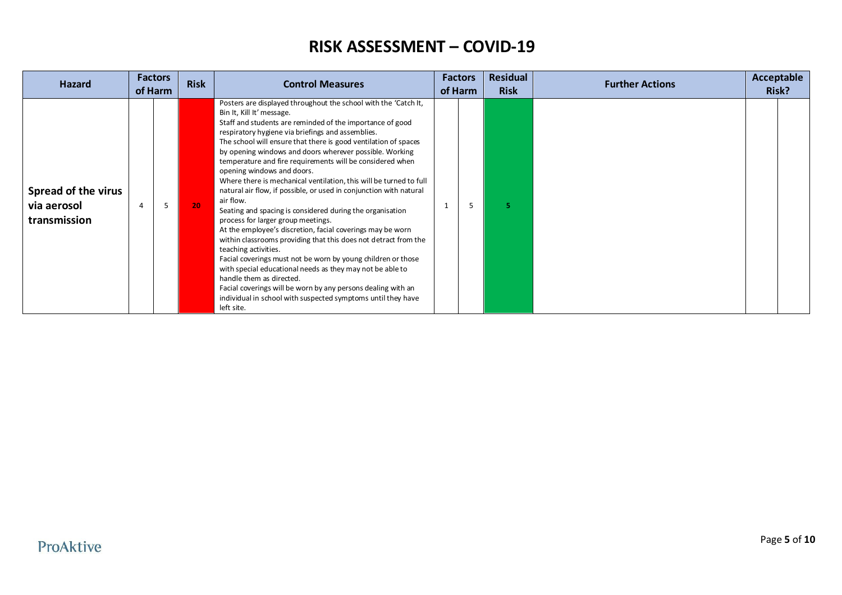| <b>Hazard</b>                                      | of Harm | <b>Factors</b> | <b>Factors</b><br><b>Risk</b><br><b>Control Measures</b><br>of Harm |                                                                                                                                                                                                                                                                                                                                                                                                                                                                                                                                                                                                                                                                                                                                                                                                                                                                                                                                                                                                                                                                                                                                                                     | <b>Residual</b><br><b>Risk</b> | <b>Further Actions</b> | Acceptable<br>Risk? |  |  |  |
|----------------------------------------------------|---------|----------------|---------------------------------------------------------------------|---------------------------------------------------------------------------------------------------------------------------------------------------------------------------------------------------------------------------------------------------------------------------------------------------------------------------------------------------------------------------------------------------------------------------------------------------------------------------------------------------------------------------------------------------------------------------------------------------------------------------------------------------------------------------------------------------------------------------------------------------------------------------------------------------------------------------------------------------------------------------------------------------------------------------------------------------------------------------------------------------------------------------------------------------------------------------------------------------------------------------------------------------------------------|--------------------------------|------------------------|---------------------|--|--|--|
| Spread of the virus<br>via aerosol<br>transmission | 4       | 5              | 20                                                                  | Posters are displayed throughout the school with the 'Catch It,<br>Bin It, Kill It' message.<br>Staff and students are reminded of the importance of good<br>respiratory hygiene via briefings and assemblies.<br>The school will ensure that there is good ventilation of spaces<br>by opening windows and doors wherever possible. Working<br>temperature and fire requirements will be considered when<br>opening windows and doors.<br>Where there is mechanical ventilation, this will be turned to full<br>natural air flow, if possible, or used in conjunction with natural<br>air flow.<br>Seating and spacing is considered during the organisation<br>process for larger group meetings.<br>At the employee's discretion, facial coverings may be worn<br>within classrooms providing that this does not detract from the<br>teaching activities.<br>Facial coverings must not be worn by young children or those<br>with special educational needs as they may not be able to<br>handle them as directed.<br>Facial coverings will be worn by any persons dealing with an<br>individual in school with suspected symptoms until they have<br>left site. | $\mathbf{1}$                   | 5                      |                     |  |  |  |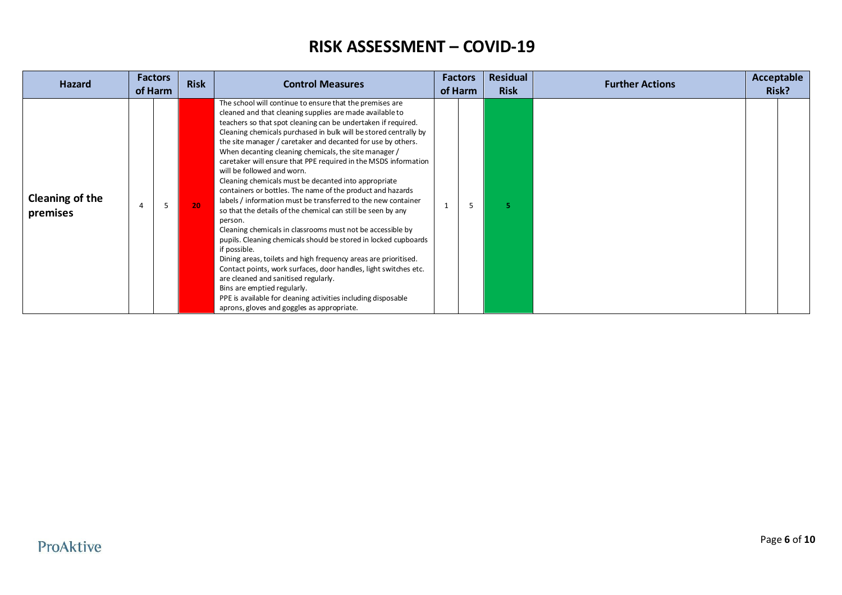| <b>Hazard</b>                      |                | <b>Factors</b><br>of Harm | <b>Risk</b> | <b>Control Measures</b>                                                                                                                                                                                                                                                                                                                                                                                                                                                                                                                                                                                                                                                                                                                                                                                                                                                                                                                                                                                                                                                                                                                                                                                                             | <b>Factors</b><br>of Harm | <b>Residual</b><br><b>Risk</b> | <b>Further Actions</b> | Acceptable<br>Risk? |  |
|------------------------------------|----------------|---------------------------|-------------|-------------------------------------------------------------------------------------------------------------------------------------------------------------------------------------------------------------------------------------------------------------------------------------------------------------------------------------------------------------------------------------------------------------------------------------------------------------------------------------------------------------------------------------------------------------------------------------------------------------------------------------------------------------------------------------------------------------------------------------------------------------------------------------------------------------------------------------------------------------------------------------------------------------------------------------------------------------------------------------------------------------------------------------------------------------------------------------------------------------------------------------------------------------------------------------------------------------------------------------|---------------------------|--------------------------------|------------------------|---------------------|--|
| <b>Cleaning of the</b><br>premises | $\overline{4}$ | 5                         | 20          | The school will continue to ensure that the premises are<br>cleaned and that cleaning supplies are made available to<br>teachers so that spot cleaning can be undertaken if required.<br>Cleaning chemicals purchased in bulk will be stored centrally by<br>the site manager / caretaker and decanted for use by others.<br>When decanting cleaning chemicals, the site manager /<br>caretaker will ensure that PPE required in the MSDS information<br>will be followed and worn.<br>Cleaning chemicals must be decanted into appropriate<br>containers or bottles. The name of the product and hazards<br>labels / information must be transferred to the new container<br>so that the details of the chemical can still be seen by any<br>person.<br>Cleaning chemicals in classrooms must not be accessible by<br>pupils. Cleaning chemicals should be stored in locked cupboards<br>if possible.<br>Dining areas, toilets and high frequency areas are prioritised.<br>Contact points, work surfaces, door handles, light switches etc.<br>are cleaned and sanitised regularly.<br>Bins are emptied regularly.<br>PPE is available for cleaning activities including disposable<br>aprons, gloves and goggles as appropriate. | ב                         | 5.                             |                        |                     |  |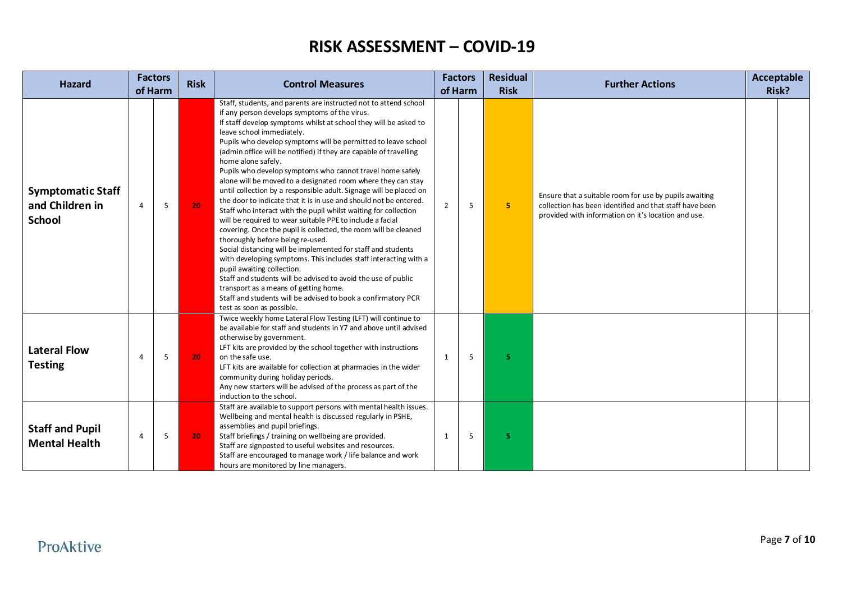| <b>Hazard</b>                                                | <b>Factors</b><br><b>Risk</b><br><b>Control Measures</b><br>of Harm |   |    | <b>Factors</b><br>of Harm                                                                                                                                                                                                                                                                                                                                                                                                                                                                                                                                                                                                                                                                                                                                                                                                                                                                                                                                                                                                                                                                                                                                                                                                                                               |                | <b>Residual</b><br><b>Risk</b> |   |                                                                                                                                                                          | <b>Further Actions</b> |  | <b>Acceptable</b><br>Risk? |  |
|--------------------------------------------------------------|---------------------------------------------------------------------|---|----|-------------------------------------------------------------------------------------------------------------------------------------------------------------------------------------------------------------------------------------------------------------------------------------------------------------------------------------------------------------------------------------------------------------------------------------------------------------------------------------------------------------------------------------------------------------------------------------------------------------------------------------------------------------------------------------------------------------------------------------------------------------------------------------------------------------------------------------------------------------------------------------------------------------------------------------------------------------------------------------------------------------------------------------------------------------------------------------------------------------------------------------------------------------------------------------------------------------------------------------------------------------------------|----------------|--------------------------------|---|--------------------------------------------------------------------------------------------------------------------------------------------------------------------------|------------------------|--|----------------------------|--|
| <b>Symptomatic Staff</b><br>and Children in<br><b>School</b> | $\overline{4}$                                                      | 5 | 20 | Staff, students, and parents are instructed not to attend school<br>if any person develops symptoms of the virus.<br>If staff develop symptoms whilst at school they will be asked to<br>leave school immediately.<br>Pupils who develop symptoms will be permitted to leave school<br>(admin office will be notified) if they are capable of travelling<br>home alone safely.<br>Pupils who develop symptoms who cannot travel home safely<br>alone will be moved to a designated room where they can stay<br>until collection by a responsible adult. Signage will be placed on<br>the door to indicate that it is in use and should not be entered.<br>Staff who interact with the pupil whilst waiting for collection<br>will be required to wear suitable PPE to include a facial<br>covering. Once the pupil is collected, the room will be cleaned<br>thoroughly before being re-used.<br>Social distancing will be implemented for staff and students<br>with developing symptoms. This includes staff interacting with a<br>pupil awaiting collection.<br>Staff and students will be advised to avoid the use of public<br>transport as a means of getting home.<br>Staff and students will be advised to book a confirmatory PCR<br>test as soon as possible. | $\overline{2}$ | 5                              | 5 | Ensure that a suitable room for use by pupils awaiting<br>collection has been identified and that staff have been<br>provided with information on it's location and use. |                        |  |                            |  |
| <b>Lateral Flow</b><br><b>Testing</b>                        | $\overline{4}$                                                      | 5 | 20 | Twice weekly home Lateral Flow Testing (LFT) will continue to<br>be available for staff and students in Y7 and above until advised<br>otherwise by government.<br>LFT kits are provided by the school together with instructions<br>on the safe use.<br>LFT kits are available for collection at pharmacies in the wider<br>community during holiday periods.<br>Any new starters will be advised of the process as part of the<br>induction to the school.                                                                                                                                                                                                                                                                                                                                                                                                                                                                                                                                                                                                                                                                                                                                                                                                             | 1              | 5                              | 5 |                                                                                                                                                                          |                        |  |                            |  |
| <b>Staff and Pupil</b><br><b>Mental Health</b>               | $\overline{4}$                                                      | 5 | 20 | Staff are available to support persons with mental health issues.<br>Wellbeing and mental health is discussed regularly in PSHE,<br>assemblies and pupil briefings.<br>Staff briefings / training on wellbeing are provided.<br>Staff are signposted to useful websites and resources.<br>Staff are encouraged to manage work / life balance and work<br>hours are monitored by line managers.                                                                                                                                                                                                                                                                                                                                                                                                                                                                                                                                                                                                                                                                                                                                                                                                                                                                          | 1              | 5                              | 5 |                                                                                                                                                                          |                        |  |                            |  |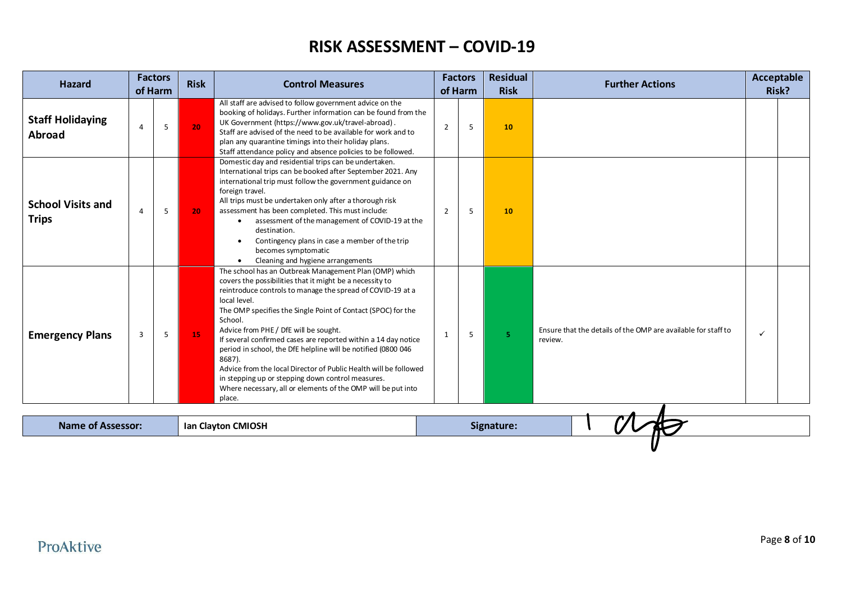| <b>Hazard</b>                            |                | <b>Factors</b><br>of Harm | <b>Risk</b> | <b>Control Measures</b>                                                                                                                                                                                                                                                                                                                                                                                                                                                                                                                                                                                                                                              |                | <b>Factors</b><br>of Harm | <b>Residual</b><br><b>Risk</b> | <b>Further Actions</b>                                                   |              | Acceptable<br>Risk? |
|------------------------------------------|----------------|---------------------------|-------------|----------------------------------------------------------------------------------------------------------------------------------------------------------------------------------------------------------------------------------------------------------------------------------------------------------------------------------------------------------------------------------------------------------------------------------------------------------------------------------------------------------------------------------------------------------------------------------------------------------------------------------------------------------------------|----------------|---------------------------|--------------------------------|--------------------------------------------------------------------------|--------------|---------------------|
| <b>Staff Holidaying</b><br><b>Abroad</b> | $\overline{a}$ | 5                         | 20          | All staff are advised to follow government advice on the<br>booking of holidays. Further information can be found from the<br>UK Government (https://www.gov.uk/travel-abroad).<br>Staff are advised of the need to be available for work and to<br>plan any quarantine timings into their holiday plans.<br>Staff attendance policy and absence policies to be followed.                                                                                                                                                                                                                                                                                            | $\overline{2}$ | 5                         | 10                             |                                                                          |              |                     |
| <b>School Visits and</b><br><b>Trips</b> | 4              | 5                         | 20          | Domestic day and residential trips can be undertaken.<br>International trips can be booked after September 2021. Any<br>international trip must follow the government guidance on<br>foreign travel.<br>All trips must be undertaken only after a thorough risk<br>assessment has been completed. This must include:<br>assessment of the management of COVID-19 at the<br>$\bullet$<br>destination.<br>Contingency plans in case a member of the trip<br>$\bullet$<br>becomes symptomatic<br>Cleaning and hygiene arrangements<br>$\bullet$                                                                                                                         | $\overline{2}$ | 5                         | 10                             |                                                                          |              |                     |
| <b>Emergency Plans</b>                   | 3<br>5         |                           | 15          | The school has an Outbreak Management Plan (OMP) which<br>covers the possibilities that it might be a necessity to<br>reintroduce controls to manage the spread of COVID-19 at a<br>local level.<br>The OMP specifies the Single Point of Contact (SPOC) for the<br>School.<br>Advice from PHE / DfE will be sought.<br>If several confirmed cases are reported within a 14 day notice<br>period in school, the DfE helpline will be notified (0800 046<br>8687).<br>Advice from the local Director of Public Health will be followed<br>in stepping up or stepping down control measures.<br>Where necessary, all or elements of the OMP will be put into<br>place. | 1              | 5                         | 5.                             | Ensure that the details of the OMP are available for staff to<br>review. | $\checkmark$ |                     |
| <b>Name of Assessor:</b>                 |                |                           |             | Ian Clayton CMIOSH                                                                                                                                                                                                                                                                                                                                                                                                                                                                                                                                                                                                                                                   |                |                           | Signature:                     |                                                                          |              |                     |
|                                          |                |                           |             |                                                                                                                                                                                                                                                                                                                                                                                                                                                                                                                                                                                                                                                                      |                |                           |                                |                                                                          |              |                     |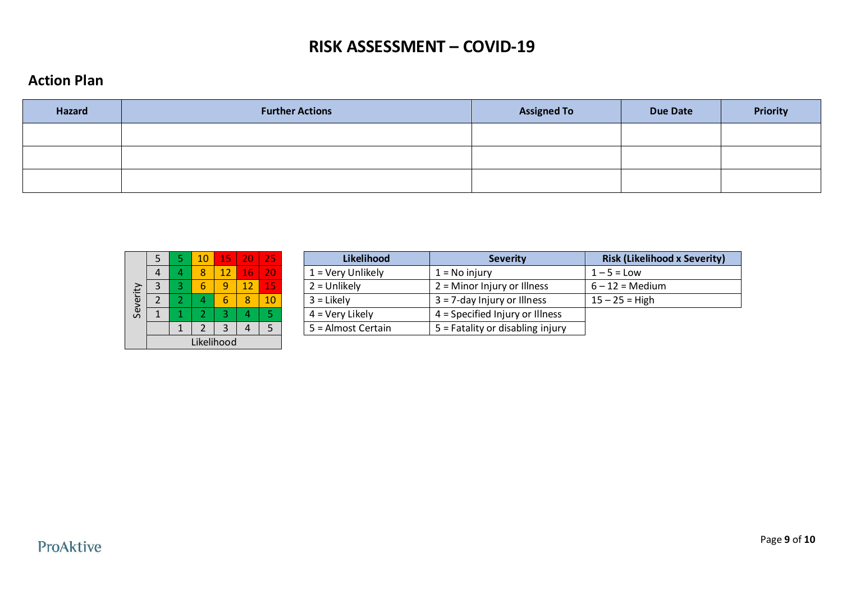#### **Action Plan**

| <b>Hazard</b> | <b>Further Actions</b> | <b>Assigned To</b> | <b>Due Date</b> | <b>Priority</b> |
|---------------|------------------------|--------------------|-----------------|-----------------|
|               |                        |                    |                 |                 |
|               |                        |                    |                 |                 |
|               |                        |                    |                 |                 |

|          | 5          | 5 | 10 | 15 | 20 | 25 |  |  |
|----------|------------|---|----|----|----|----|--|--|
|          |            | 4 | 8  | 12 | 16 | 20 |  |  |
|          |            | 3 |    |    | 12 | 15 |  |  |
| Severity |            | 2 |    |    | 8  | 10 |  |  |
|          |            | 1 | 2  | 3  | 4  | 5  |  |  |
|          |            |   | 2  |    |    | 5  |  |  |
|          | Likelihood |   |    |    |    |    |  |  |

|  | 10 <sub>h</sub> |          | 15   20   25    |    | <b>Likelihood</b>   | <b>Severity</b>                   | <b>Risk (Likelihood x Severity)</b> |
|--|-----------------|----------|-----------------|----|---------------------|-----------------------------------|-------------------------------------|
|  | 8               |          | 16 <sup>1</sup> | 20 | $1 =$ Very Unlikely | $1 = No$ injury                   | $1-5$ = Low                         |
|  | 6               | $\Omega$ | 12              | 15 | $2 =$ Unlikely      | $2 =$ Minor Injury or Illness     | $6 - 12 = \text{Median}$            |
|  |                 |          |                 | 10 | $3 =$ Likely        | $3 = 7$ -day Injury or Illness    | $15 - 25 =$ High                    |
|  |                 |          |                 |    | $4 = Very$ Likely   | $4 =$ Specified Injury or Illness |                                     |
|  |                 |          |                 |    | 5 = Almost Certain  | 5 = Fatality or disabling injury  |                                     |